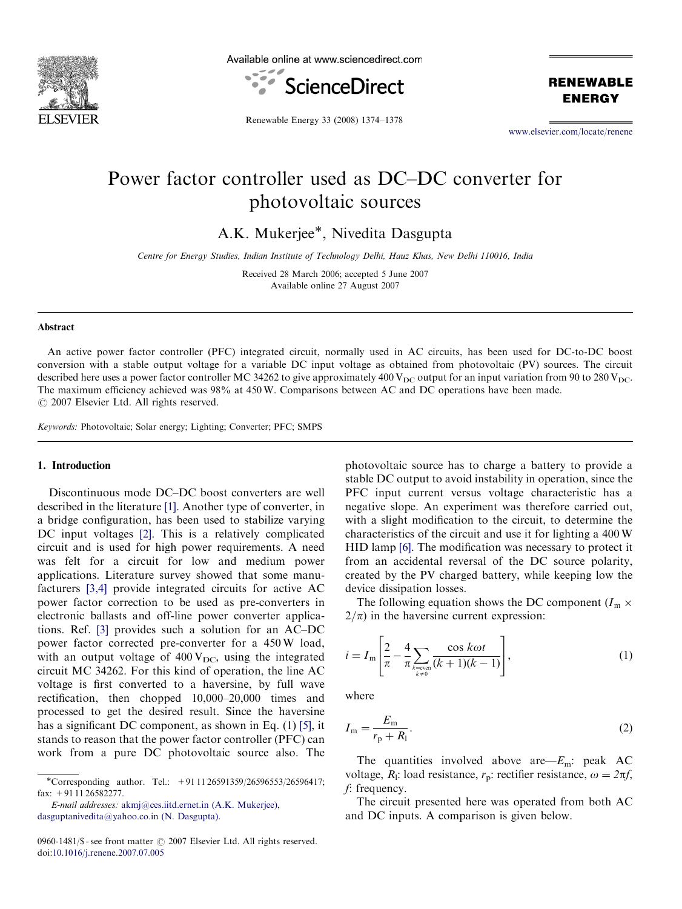

Available online at www.sciencedirect.com



**RENEWABLE ENERGY** 

Renewable Energy 33 (2008) 1374–1378

<www.elsevier.com/locate/renene>

## Power factor controller used as DC–DC converter for photovoltaic sources

A.K. Mukerjee\*, Nivedita Dasgupta

Centre for Energy Studies, Indian Institute of Technology Delhi, Hauz Khas, New Delhi 110016, India

Received 28 March 2006; accepted 5 June 2007 Available online 27 August 2007

## Abstract

An active power factor controller (PFC) integrated circuit, normally used in AC circuits, has been used for DC-to-DC boost conversion with a stable output voltage for a variable DC input voltage as obtained from photovoltaic (PV) sources. The circuit described here uses a power factor controller MC 34262 to give approximately 400  $V_{DC}$  output for an input variation from 90 to 280  $V_{DC}$ . The maximum efficiency achieved was 98% at 450 W. Comparisons between AC and DC operations have been made.  $\odot$  2007 Elsevier Ltd. All rights reserved.

Keywords: Photovoltaic; Solar energy; Lighting; Converter; PFC; SMPS

## 1. Introduction

Discontinuous mode DC–DC boost converters are well described in the literature [\[1\]](#page--1-0). Another type of converter, in a bridge configuration, has been used to stabilize varying DC input voltages [\[2\]](#page--1-0). This is a relatively complicated circuit and is used for high power requirements. A need was felt for a circuit for low and medium power applications. Literature survey showed that some manufacturers [\[3,4\]](#page--1-0) provide integrated circuits for active AC power factor correction to be used as pre-converters in electronic ballasts and off-line power converter applications. Ref. [\[3\]](#page--1-0) provides such a solution for an AC–DC power factor corrected pre-converter for a 450 W load, with an output voltage of  $400 \text{V}_{\text{DC}}$ , using the integrated circuit MC 34262. For this kind of operation, the line AC voltage is first converted to a haversine, by full wave rectification, then chopped 10,000–20,000 times and processed to get the desired result. Since the haversine has a significant DC component, as shown in Eq. (1) [\[5\]](#page--1-0), it stands to reason that the power factor controller (PFC) can work from a pure DC photovoltaic source also. The

\*Corresponding author. Tel.: +91 11 26591359/26596553/26596417; fax: +91 11 26582277.

E-mail addresses: [akmj@ces.iitd.ernet.in \(A.K. Mukerjee\)](mailto:akmj@ces.iitd.ernet.in), [dasguptanivedita@yahoo.co.in \(N. Dasgupta\).](mailto:dasguptanivedita@yahoo.co.in)

photovoltaic source has to charge a battery to provide a stable DC output to avoid instability in operation, since the PFC input current versus voltage characteristic has a negative slope. An experiment was therefore carried out, with a slight modification to the circuit, to determine the characteristics of the circuit and use it for lighting a 400 W HID lamp [\[6\]](#page--1-0). The modification was necessary to protect it from an accidental reversal of the DC source polarity, created by the PV charged battery, while keeping low the device dissipation losses.

The following equation shows the DC component  $(I_m \times I_m)$  $2/\pi$ ) in the haversine current expression:

$$
i = I_{\rm m} \left[ \frac{2}{\pi} - \frac{4}{\pi} \sum_{\substack{k = \text{even} \\ k \neq 0}} \frac{\cos k\omega t}{(k+1)(k-1)} \right],\tag{1}
$$

where

$$
I_{\rm m} = \frac{E_{\rm m}}{r_{\rm p} + R_{\rm l}}.\tag{2}
$$

The quantities involved above are— $E_m$ : peak AC voltage,  $R_1$ : load resistance,  $r_p$ : rectifier resistance,  $\omega = 2\pi f$ , f: frequency.

The circuit presented here was operated from both AC and DC inputs. A comparison is given below.

<sup>0960-1481/\$ -</sup> see front matter  $\odot$  2007 Elsevier Ltd. All rights reserved. doi:[10.1016/j.renene.2007.07.005](dx.doi.org/10.1016/j.renene.2007.07.005)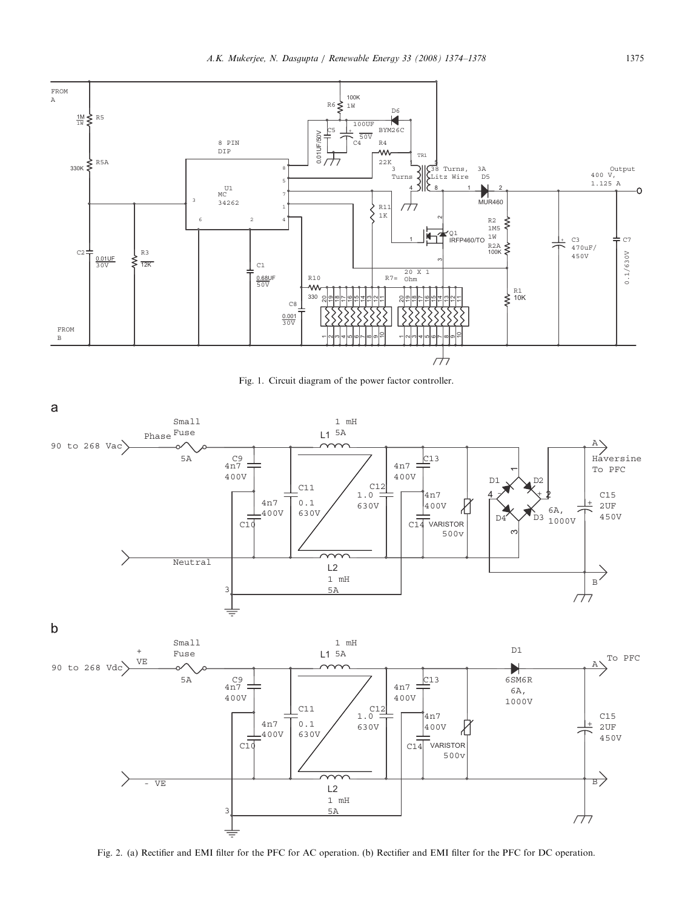

Fig. 1. Circuit diagram of the power factor controller.



Fig. 2. (a) Rectifier and EMI filter for the PFC for AC operation. (b) Rectifier and EMI filter for the PFC for DC operation.

1 mH 5A

3

≡

 $\sqrt{7}$